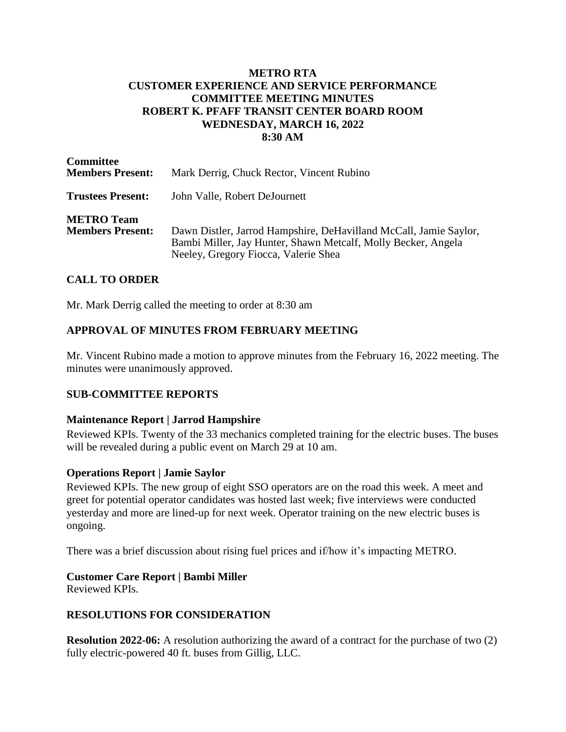## **METRO RTA CUSTOMER EXPERIENCE AND SERVICE PERFORMANCE COMMITTEE MEETING MINUTES ROBERT K. PFAFF TRANSIT CENTER BOARD ROOM WEDNESDAY, MARCH 16, 2022 8:30 AM**

| <b>Committee</b><br><b>Members Present:</b>  | Mark Derrig, Chuck Rector, Vincent Rubino                                                                                                                                  |
|----------------------------------------------|----------------------------------------------------------------------------------------------------------------------------------------------------------------------------|
| <b>Trustees Present:</b>                     | John Valle, Robert DeJournett                                                                                                                                              |
| <b>METRO Team</b><br><b>Members Present:</b> | Dawn Distler, Jarrod Hampshire, DeHavilland McCall, Jamie Saylor,<br>Bambi Miller, Jay Hunter, Shawn Metcalf, Molly Becker, Angela<br>Neeley, Gregory Fiocca, Valerie Shea |

## **CALL TO ORDER**

Mr. Mark Derrig called the meeting to order at 8:30 am

## **APPROVAL OF MINUTES FROM FEBRUARY MEETING**

Mr. Vincent Rubino made a motion to approve minutes from the February 16, 2022 meeting. The minutes were unanimously approved.

## **SUB-COMMITTEE REPORTS**

#### **Maintenance Report | Jarrod Hampshire**

Reviewed KPIs. Twenty of the 33 mechanics completed training for the electric buses. The buses will be revealed during a public event on March 29 at 10 am.

#### **Operations Report | Jamie Saylor**

Reviewed KPIs. The new group of eight SSO operators are on the road this week. A meet and greet for potential operator candidates was hosted last week; five interviews were conducted yesterday and more are lined-up for next week. Operator training on the new electric buses is ongoing.

There was a brief discussion about rising fuel prices and if/how it's impacting METRO.

### **Customer Care Report | Bambi Miller**

Reviewed KPIs.

### **RESOLUTIONS FOR CONSIDERATION**

**Resolution 2022-06:** A resolution authorizing the award of a contract for the purchase of two (2) fully electric-powered 40 ft. buses from Gillig, LLC.